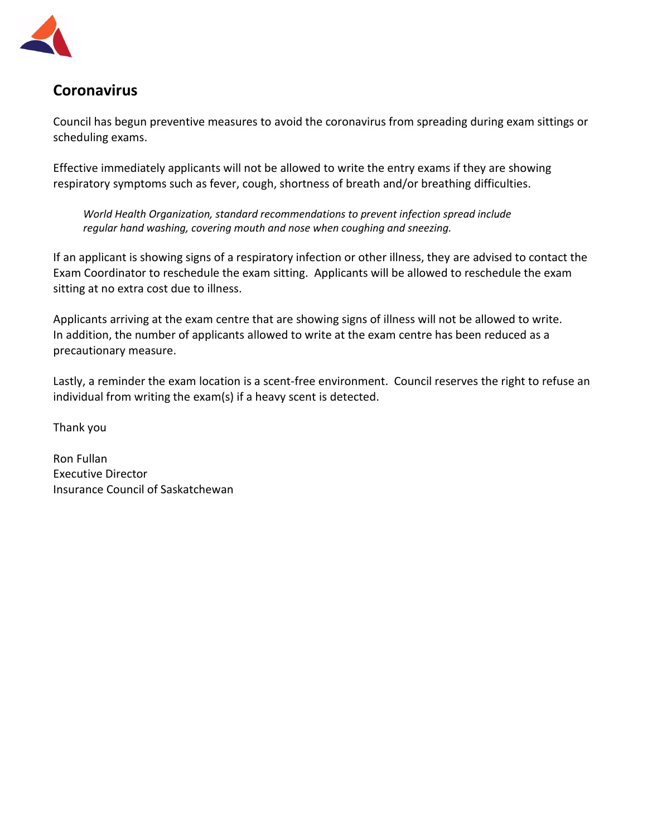

## **Coronavirus**

Council has begun preventive measures to avoid the coronavirus from spreading during exam sittings or scheduling exams.

Effective immediately applicants will not be allowed to write the entry exams if they are showing respiratory symptoms such as fever, cough, shortness of breath and/or breathing difficulties.

*World Health Organization, standard recommendations to prevent infection spread include regular hand washing, covering mouth and nose when coughing and sneezing.*

If an applicant is showing signs of a respiratory infection or other illness, they are advised to contact the Exam Coordinator to reschedule the exam sitting. Applicants will be allowed to reschedule the exam sitting at no extra cost due to illness.

Applicants arriving at the exam centre that are showing signs of illness will not be allowed to write. In addition, the number of applicants allowed to write at the exam centre has been reduced as a precautionary measure.

Lastly, a reminder the exam location is a scent-free environment. Council reserves the right to refuse an individual from writing the exam(s) if a heavy scent is detected.

Thank you

Ron Fullan Executive Director Insurance Council of Saskatchewan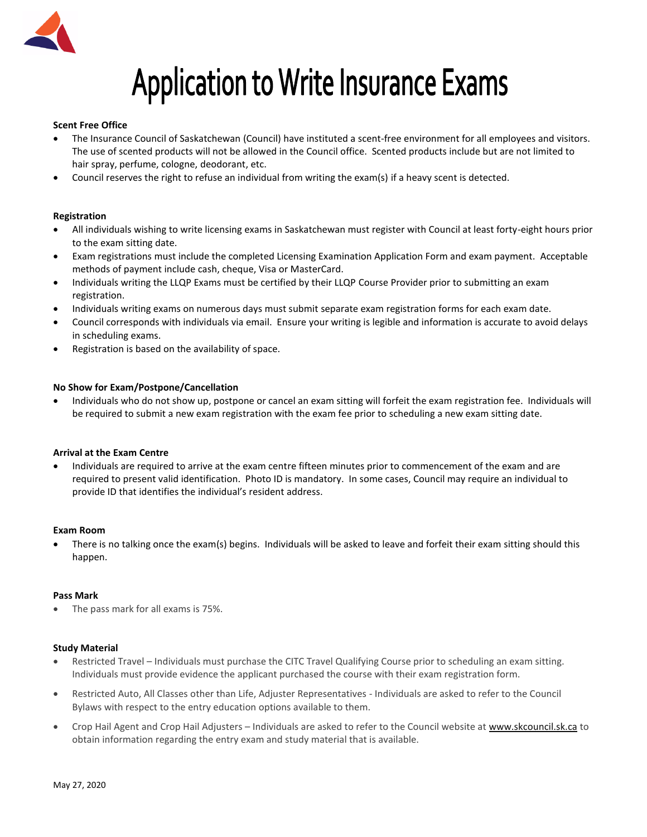

# **Application to Write Insurance Exams**

### **Scent Free Office**

- The Insurance Council of Saskatchewan (Council) have instituted a scent-free environment for all employees and visitors. The use of scented products will not be allowed in the Council office. Scented products include but are not limited to hair spray, perfume, cologne, deodorant, etc.
- Council reserves the right to refuse an individual from writing the exam(s) if a heavy scent is detected.

### **Registration**

- All individuals wishing to write licensing exams in Saskatchewan must register with Council at least forty-eight hours prior to the exam sitting date.
- Exam registrations must include the completed Licensing Examination Application Form and exam payment. Acceptable methods of payment include cash, cheque, Visa or MasterCard.
- Individuals writing the LLQP Exams must be certified by their LLQP Course Provider prior to submitting an exam registration.
- Individuals writing exams on numerous days must submit separate exam registration forms for each exam date.
- Council corresponds with individuals via email. Ensure your writing is legible and information is accurate to avoid delays in scheduling exams.
- Registration is based on the availability of space.

### **No Show for Exam/Postpone/Cancellation**

• Individuals who do not show up, postpone or cancel an exam sitting will forfeit the exam registration fee. Individuals will be required to submit a new exam registration with the exam fee prior to scheduling a new exam sitting date.

## **Arrival at the Exam Centre**

• Individuals are required to arrive at the exam centre fifteen minutes prior to commencement of the exam and are required to present valid identification. Photo ID is mandatory. In some cases, Council may require an individual to provide ID that identifies the individual's resident address.

### **Exam Room**

• There is no talking once the exam(s) begins. Individuals will be asked to leave and forfeit their exam sitting should this happen.

#### **Pass Mark**

• The pass mark for all exams is 75%.

#### **Study Material**

- Restricted Travel Individuals must purchase the CITC Travel Qualifying Course prior to scheduling an exam sitting. Individuals must provide evidence the applicant purchased the course with their exam registration form.
- Restricted Auto, All Classes other than Life, Adjuster Representatives Individuals are asked to refer to the Council Bylaws with respect to the entry education options available to them.
- Crop Hail Agent and Crop Hail Adjusters Individuals are asked to refer to the Council website a[t www.skcouncil.sk.ca](http://www.skcouncil.sk.ca/) to obtain information regarding the entry exam and study material that is available.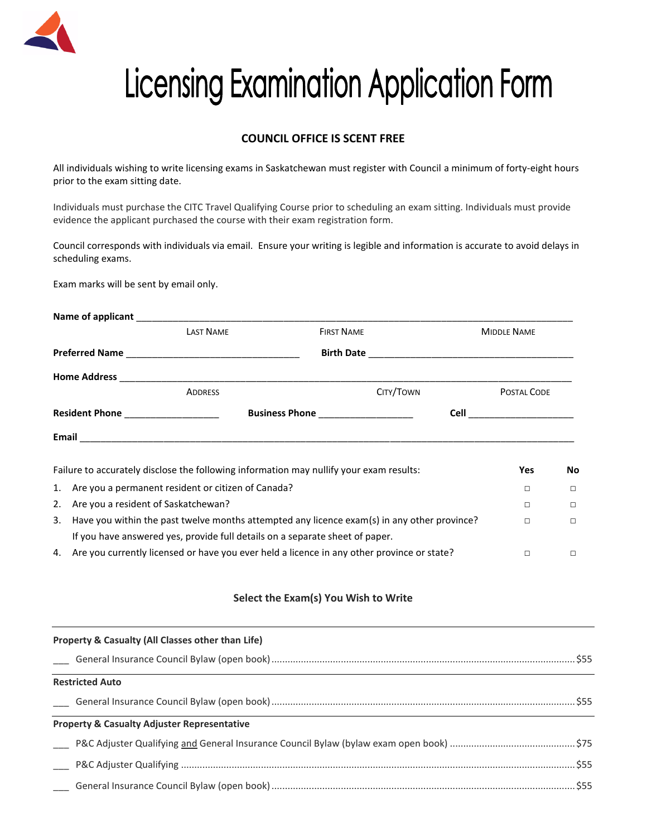

# **Licensing Examination Application Form**

## **COUNCIL OFFICE IS SCENT FREE**

All individuals wishing to write licensing exams in Saskatchewan must register with Council a minimum of forty-eight hours prior to the exam sitting date.

Individuals must purchase the CITC Travel Qualifying Course prior to scheduling an exam sitting. Individuals must provide evidence the applicant purchased the course with their exam registration form.

Council corresponds with individuals via email. Ensure your writing is legible and information is accurate to avoid delays in scheduling exams.

Exam marks will be sent by email only.

|                                   | Name of applicant and the state of a series of a series of a series of a series of the series of the series of the series of the series of the series of the series of the series of the series of the series of the series of |                                    |                    |        |  |
|-----------------------------------|--------------------------------------------------------------------------------------------------------------------------------------------------------------------------------------------------------------------------------|------------------------------------|--------------------|--------|--|
| <b>LAST NAME</b>                  |                                                                                                                                                                                                                                | <b>FIRST NAME</b>                  | <b>MIDDLE NAME</b> |        |  |
|                                   |                                                                                                                                                                                                                                |                                    |                    |        |  |
|                                   |                                                                                                                                                                                                                                |                                    |                    |        |  |
|                                   | <b>ADDRESS</b>                                                                                                                                                                                                                 | CITY/TOWN                          | POSTAL CODE        |        |  |
| Resident Phone __________________ |                                                                                                                                                                                                                                | Business Phone ___________________ |                    |        |  |
|                                   |                                                                                                                                                                                                                                |                                    |                    |        |  |
|                                   | Failure to accurately disclose the following information may nullify your exam results:                                                                                                                                        |                                    | Yes                | No     |  |
|                                   | 1. Are you a permanent resident or citizen of Canada?                                                                                                                                                                          |                                    | П                  | $\Box$ |  |
| 2.                                | Are you a resident of Saskatchewan?                                                                                                                                                                                            |                                    |                    | $\Box$ |  |
| 3.                                | Have you within the past twelve months attempted any licence exam(s) in any other province?<br>If you have answered yes, provide full details on a separate sheet of paper.                                                    |                                    |                    |        |  |

4. Are you currently licensed or have you ever held a licence in any other province or state? □ □

## **Select the Exam(s) You Wish to Write**

| Property & Casualty (All Classes other than Life)      |  |  |  |  |
|--------------------------------------------------------|--|--|--|--|
|                                                        |  |  |  |  |
| <b>Restricted Auto</b>                                 |  |  |  |  |
|                                                        |  |  |  |  |
| <b>Property &amp; Casualty Adjuster Representative</b> |  |  |  |  |
|                                                        |  |  |  |  |
|                                                        |  |  |  |  |
|                                                        |  |  |  |  |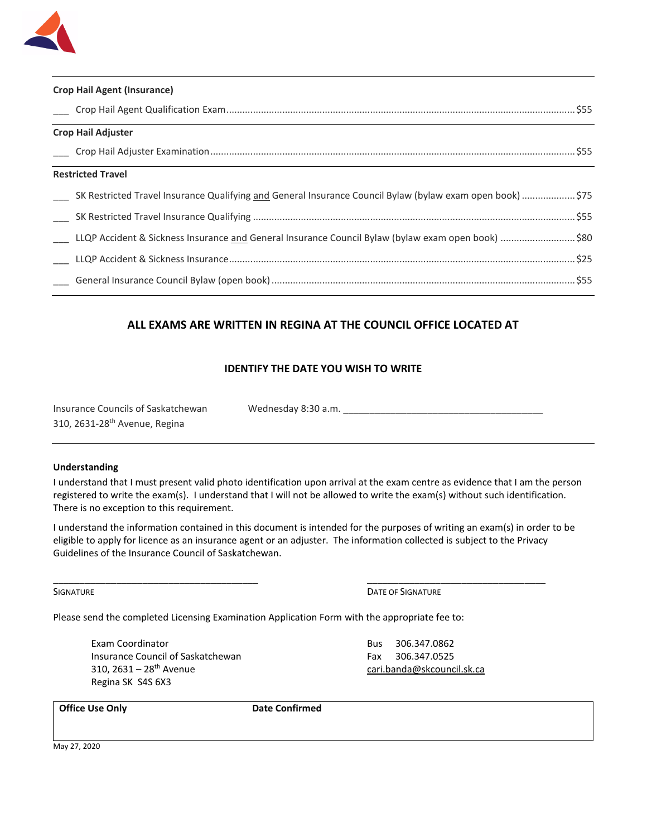

| <b>Crop Hail Agent (Insurance)</b>                                                                        |  |  |  |  |
|-----------------------------------------------------------------------------------------------------------|--|--|--|--|
|                                                                                                           |  |  |  |  |
| <b>Crop Hail Adjuster</b>                                                                                 |  |  |  |  |
| <u> 1989 - Johann Stoff, amerikansk politiker (d. 1989)</u>                                               |  |  |  |  |
| <b>Restricted Travel</b>                                                                                  |  |  |  |  |
| SK Restricted Travel Insurance Qualifying and General Insurance Council Bylaw (bylaw exam open book) \$75 |  |  |  |  |
|                                                                                                           |  |  |  |  |
| LLQP Accident & Sickness Insurance and General Insurance Council Bylaw (bylaw exam open book) \$80        |  |  |  |  |
|                                                                                                           |  |  |  |  |
|                                                                                                           |  |  |  |  |

## **ALL EXAMS ARE WRITTEN IN REGINA AT THE COUNCIL OFFICE LOCATED AT**

## **IDENTIFY THE DATE YOU WISH TO WRITE**

| Insurance Councils of Saskatchewan        | Wednesday 8:30 a.m. |  |
|-------------------------------------------|---------------------|--|
| 310, 2631-28 <sup>th</sup> Avenue, Regina |                     |  |

### **Understanding**

I understand that I must present valid photo identification upon arrival at the exam centre as evidence that I am the person registered to write the exam(s). I understand that I will not be allowed to write the exam(s) without such identification. There is no exception to this requirement.

I understand the information contained in this document is intended for the purposes of writing an exam(s) in order to be eligible to apply for licence as an insurance agent or an adjuster. The information collected is subject to the Privacy Guidelines of the Insurance Council of Saskatchewan.

\_\_\_\_\_\_\_\_\_\_\_\_\_\_\_\_\_\_\_\_\_\_\_\_\_\_\_\_\_\_\_\_\_\_\_\_\_\_\_ \_\_\_\_\_\_\_\_\_\_\_\_\_\_\_\_\_\_\_\_\_\_\_\_\_\_\_\_\_\_\_\_\_\_

SIGNATURE **DATE OF SIGNATURE DATE OF SIGNATURE** 

Please send the completed Licensing Examination Application Form with the appropriate fee to:

Exam Coordinator **Bus 306.347.0862** Insurance Council of Saskatchewan Fax 306.347.0525 310, 2631 – 28th Avenue [cari.banda@skcouncil.sk.ca](mailto:cari.banda@skcouncil.sk.ca) Regina SK S4S 6X3

**Office Use Only**  Date Confirmed